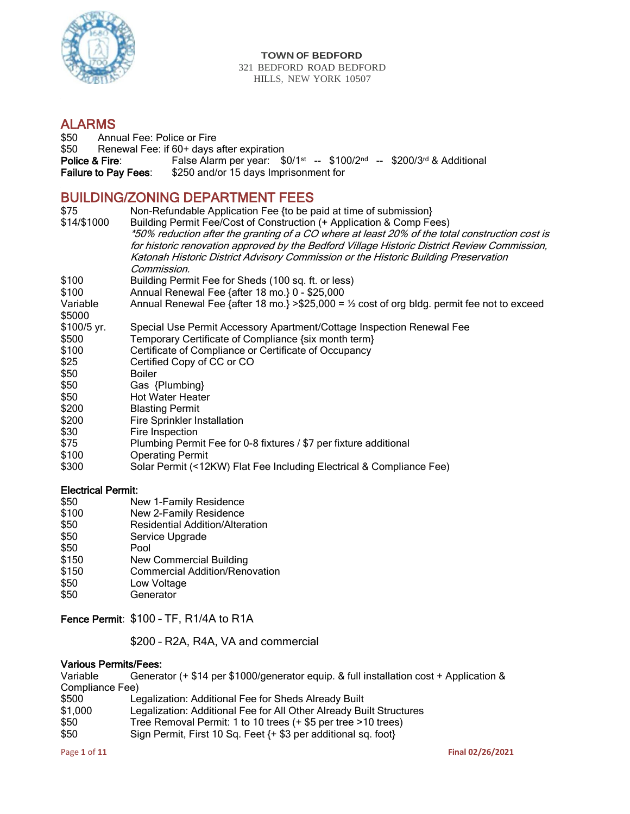

#### **TOWN OF BEDFORD** 321 BEDFORD ROAD BEDFORD HILLS, NEW YORK 10507

# **ALARMS**<br>\$50 Annu

Annual Fee: Police or Fire \$50 Renewal Fee: if 60+ days after expiration Police & Fire: False Alarm per year: \$0/1st -- \$100/2nd -- \$200/3rd & Additional Failure to Pay Fees: \$250 and/or 15 days Imprisonment for

#### BUILDING/ZONING DEPARTMENT FEES

| \$75<br>\$14/\$1000 | Non-Refundable Application Fee {to be paid at time of submission}<br>Building Permit Fee/Cost of Construction (+ Application & Comp Fees)<br>*50% reduction after the granting of a CO where at least 20% of the total construction cost is |
|---------------------|---------------------------------------------------------------------------------------------------------------------------------------------------------------------------------------------------------------------------------------------|
|                     | for historic renovation approved by the Bedford Village Historic District Review Commission,<br>Katonah Historic District Advisory Commission or the Historic Building Preservation<br>Commission.                                          |
| \$100               | Building Permit Fee for Sheds (100 sq. ft. or less)                                                                                                                                                                                         |
| \$100               | Annual Renewal Fee {after 18 mo.} 0 - \$25,000                                                                                                                                                                                              |
| Variable<br>\$5000  | Annual Renewal Fee {after 18 mo.} > \$25,000 = $\frac{1}{2}$ cost of org bldg. permit fee not to exceed                                                                                                                                     |
| \$100/5 yr.         | Special Use Permit Accessory Apartment/Cottage Inspection Renewal Fee                                                                                                                                                                       |
| \$500               | Temporary Certificate of Compliance {six month term}                                                                                                                                                                                        |
| \$100               | Certificate of Compliance or Certificate of Occupancy                                                                                                                                                                                       |
| \$25                | Certified Copy of CC or CO                                                                                                                                                                                                                  |
| \$50                | <b>Boiler</b>                                                                                                                                                                                                                               |
| \$50                | Gas {Plumbing}                                                                                                                                                                                                                              |
| \$50                | <b>Hot Water Heater</b>                                                                                                                                                                                                                     |
| \$200               | <b>Blasting Permit</b>                                                                                                                                                                                                                      |
| \$200               | Fire Sprinkler Installation                                                                                                                                                                                                                 |
| \$30                | Fire Inspection                                                                                                                                                                                                                             |
| \$75                | Plumbing Permit Fee for 0-8 fixtures / \$7 per fixture additional                                                                                                                                                                           |
| \$100               | <b>Operating Permit</b>                                                                                                                                                                                                                     |
| \$300               | Solar Permit (<12KW) Flat Fee Including Electrical & Compliance Fee)                                                                                                                                                                        |

#### Electrical Permit:

- \$50 New 1-Family Residence
- \$100 New 2-Family Residence
- \$50 Residential Addition/Alteration<br>\$50 Service Upgrade
- \$50 Service Upgrade<br>\$50 Pool
- \$50 Pool<br>\$150 New
- \$150 New Commercial Building<br>\$150 Commercial Addition/Reno
- Commercial Addition/Renovation
- \$50 Low Voltage
- \$50 Generator

#### Fence Permit: \$100 – TF, R1/4A to R1A

\$200 – R2A, R4A, VA and commercial

#### Various Permits/Fees:

| Variable        | Generator (+ \$14 per \$1000/generator equip. & full installation cost + Application & |
|-----------------|----------------------------------------------------------------------------------------|
| Compliance Fee) |                                                                                        |
| \$500           | Legalization: Additional Fee for Sheds Already Built                                   |
| \$1,000         | Legalization: Additional Fee for All Other Already Built Structures                    |
| \$50            | Tree Removal Permit: 1 to 10 trees (+ \$5 per tree > 10 trees)                         |
| \$50            | Sign Permit, First 10 Sq. Feet {+ \$3 per additional sq. foot}                         |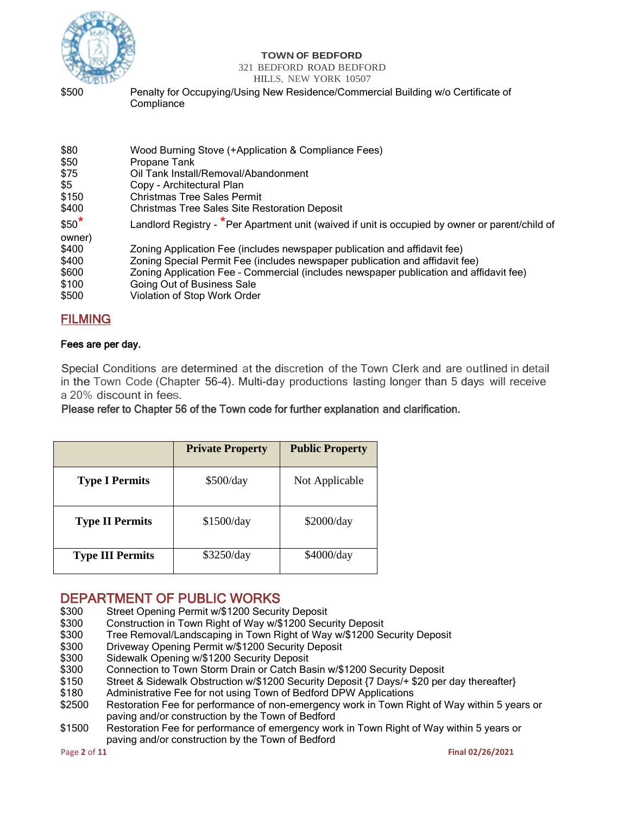

#### **TOWN OF BEDFORD**

#### 321 BEDFORD ROAD BEDFORD

#### HILLS, NEW YORK 10507

\$500 Penalty for Occupying/Using New Residence/Commercial Building w/o Certificate of **Compliance** 

| \$80          | Wood Burning Stove (+Application & Compliance Fees)                                             |
|---------------|-------------------------------------------------------------------------------------------------|
| \$50          | Propane Tank                                                                                    |
| \$75          | Oil Tank Install/Removal/Abandonment                                                            |
| \$5           | Copy - Architectural Plan                                                                       |
| \$150         | Christmas Tree Sales Permit                                                                     |
| \$400         | <b>Christmas Tree Sales Site Restoration Deposit</b>                                            |
| $$50^{\star}$ | Landlord Registry - *Per Apartment unit (waived if unit is occupied by owner or parent/child of |
| owner)        |                                                                                                 |
| \$400         | Zoning Application Fee (includes newspaper publication and affidavit fee)                       |
| \$400         | Zoning Special Permit Fee (includes newspaper publication and affidavit fee)                    |
| \$600         | Zoning Application Fee - Commercial (includes newspaper publication and affidavit fee)          |
| \$100         | Going Out of Business Sale                                                                      |
| \$500         | Violation of Stop Work Order                                                                    |

### FILMING

#### Fees are per day.

Special Conditions are determined at the discretion of the Town Clerk and are outlined in detail in the Town Code (Chapter 56-4). Multi-day productions lasting longer than 5 days will receive a 20% discount in fees.

Please refer to Chapter 56 of the Town code for further explanation and clarification.

|                         | <b>Private Property</b> | <b>Public Property</b> |
|-------------------------|-------------------------|------------------------|
| <b>Type I Permits</b>   | \$500/day               | Not Applicable         |
| <b>Type II Permits</b>  | \$1500/day              | \$2000/day             |
| <b>Type III Permits</b> | \$3250/day              | \$4000/day             |

# **DEPARTMENT OF PUBLIC WORKS**<br>\$300 Street Opening Permit w/\$1200 Securi

- \$300 Street Opening Permit w/\$1200 Security Deposit<br>\$300 Construction in Town Right of Way w/\$1200 Secu
- \$300 Construction in Town Right of Way w/\$1200 Security Deposit
- Tree Removal/Landscaping in Town Right of Way w/\$1200 Security Deposit
- \$300 Driveway Opening Permit w/\$1200 Security Deposit
- \$300 Sidewalk Opening w/\$1200 Security Deposit
- \$300 Connection to Town Storm Drain or Catch Basin w/\$1200 Security Deposit
- \$150 Street & Sidewalk Obstruction w/\$1200 Security Deposit {7 Days/+ \$20 per day thereafter}
- \$180 Administrative Fee for not using Town of Bedford DPW Applications
- \$2500 Restoration Fee for performance of non-emergency work in Town Right of Way within 5 years or paving and/or construction by the Town of Bedford
- \$1500 Restoration Fee for performance of emergency work in Town Right of Way within 5 years or paving and/or construction by the Town of Bedford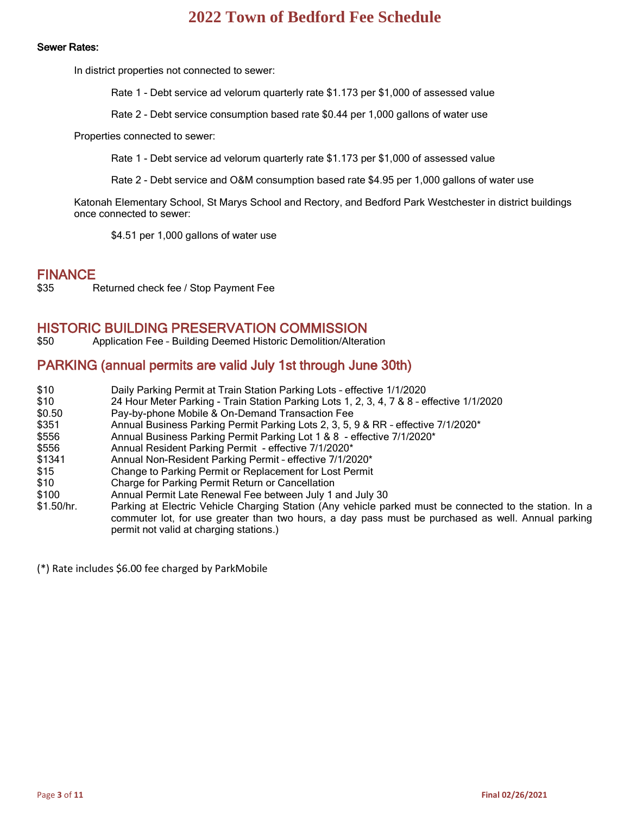#### Sewer Rates:

In district properties not connected to sewer:

Rate 1 - Debt service ad velorum quarterly rate \$1.173 per \$1,000 of assessed value

Rate 2 - Debt service consumption based rate \$0.44 per 1,000 gallons of water use

Properties connected to sewer:

Rate 1 - Debt service ad velorum quarterly rate \$1.173 per \$1,000 of assessed value

Rate 2 - Debt service and O&M consumption based rate \$4.95 per 1,000 gallons of water use

Katonah Elementary School, St Marys School and Rectory, and Bedford Park Westchester in district buildings once connected to sewer:

\$4.51 per 1,000 gallons of water use

#### FINANCE

\$35 Returned check fee / Stop Payment Fee

#### HISTORIC BUILDING PRESERVATION COMMISSION

\$50 Application Fee – Building Deemed Historic Demolition/Alteration

### PARKING (annual permits are valid July 1st through June 30th)

- \$10 Daily Parking Permit at Train Station Parking Lots effective 1/1/2020
- \$10 24 Hour Meter Parking Train Station Parking Lots 1, 2, 3, 4, 7 & 8 effective 1/1/2020
- \$0.50 Pay-by-phone Mobile & On-Demand Transaction Fee
- \$351 Annual Business Parking Permit Parking Lots 2, 3, 5, 9 & RR effective 7/1/2020<sup>\*</sup>
- \$556 **Annual Business Parking Permit Parking Lot 1 & 8** effective 7/1/2020<sup>\*</sup>
- \$556 Annual Resident Parking Permit effective 7/1/2020\*
- \$1341 Annual Non-Resident Parking Permit effective 7/1/2020\*
- \$15 Change to Parking Permit or Replacement for Lost Permit
- \$10 Charge for Parking Permit Return or Cancellation
- \$100 Annual Permit Late Renewal Fee between July 1 and July 30
- \$1.50/hr. Parking at Electric Vehicle Charging Station (Any vehicle parked must be connected to the station. In a commuter lot, for use greater than two hours, a day pass must be purchased as well. Annual parking permit not valid at charging stations.)

(\*) Rate includes \$6.00 fee charged by ParkMobile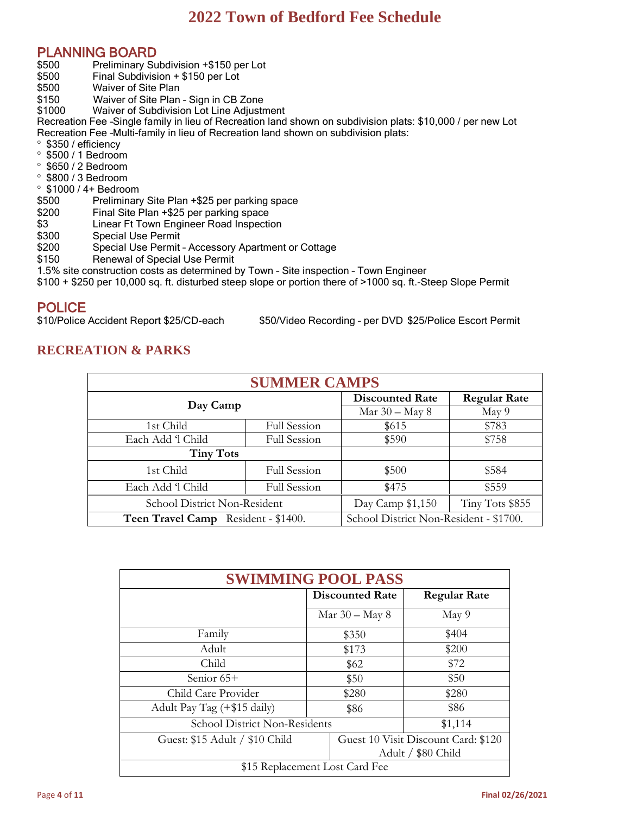# **PLANNING BOARD**<br>\$500 Preliminary Su

Preliminary Subdivision +\$150 per Lot

\$500 Final Subdivision + \$150 per Lot

\$500 Waiver of Site Plan

\$150 Waiver of Site Plan – Sign in CB Zone

\$1000 Waiver of Subdivision Lot Line Adjustment

Recreation Fee –Single family in lieu of Recreation land shown on subdivision plats: \$10,000 / per new Lot

Recreation Fee –Multi-family in lieu of Recreation land shown on subdivision plats:

- $\degree$  \$350 / efficiency
- $\degree$  \$500 / 1 Bedroom
- $\degree$  \$650 / 2 Bedroom
- $\degree$  \$800 / 3 Bedroom
- \$1000 / 4+ Bedroom
- \$500 Preliminary Site Plan +\$25 per parking space
- \$200 Final Site Plan +\$25 per parking space
- \$3 **Linear Ft Town Engineer Road Inspection**
- \$300 Special Use Permit
- \$200 Special Use Permit Accessory Apartment or Cottage
- \$150 Renewal of Special Use Permit

1.5% site construction costs as determined by Town – Site inspection – Town Engineer

\$100 + \$250 per 10,000 sq. ft. disturbed steep slope or portion there of >1000 sq. ft.-Steep Slope Permit

POLICE<br>\$10/Police Accident Report \$25/CD-each

\$50/Video Recording - per DVD \$25/Police Escort Permit

#### **RECREATION & PARKS**

| <b>SUMMER CAMPS</b>                 |                     |                                        |                     |
|-------------------------------------|---------------------|----------------------------------------|---------------------|
| Day Camp                            |                     | <b>Discounted Rate</b>                 | <b>Regular Rate</b> |
|                                     |                     | Mar $30 -$ May 8                       | May 9               |
| 1st Child                           | Full Session        | \$615                                  | \$783               |
| Each Add 'l Child                   | Full Session        | \$590                                  | \$758               |
| <b>Tiny Tots</b>                    |                     |                                        |                     |
| 1st Child                           | <b>Full Session</b> | \$500                                  | \$584               |
| Each Add 1 Child                    | Full Session        | \$475                                  | \$559               |
| School District Non-Resident        |                     | Day Camp \$1,150                       | Tiny Tots \$855     |
| Teen Travel Camp Resident - \$1400. |                     | School District Non-Resident - \$1700. |                     |

| <b>SWIMMING POOL PASS</b>      |                        |                                     |  |
|--------------------------------|------------------------|-------------------------------------|--|
|                                | <b>Discounted Rate</b> | <b>Regular Rate</b>                 |  |
|                                | Mar 30 - May 8         | May 9                               |  |
| Family                         | \$350                  | \$404                               |  |
| Adult                          | \$173                  | \$200                               |  |
| Child                          | \$62                   | \$72                                |  |
| Senior 65+                     | \$50                   | \$50                                |  |
| Child Care Provider            | \$280                  | \$280                               |  |
| Adult Pay Tag (+\$15 daily)    | \$86                   | \$86                                |  |
| School District Non-Residents  |                        | \$1,114                             |  |
| Guest: \$15 Adult / \$10 Child |                        | Guest 10 Visit Discount Card: \$120 |  |
|                                |                        | Adult / \$80 Child                  |  |
| \$15 Replacement Lost Card Fee |                        |                                     |  |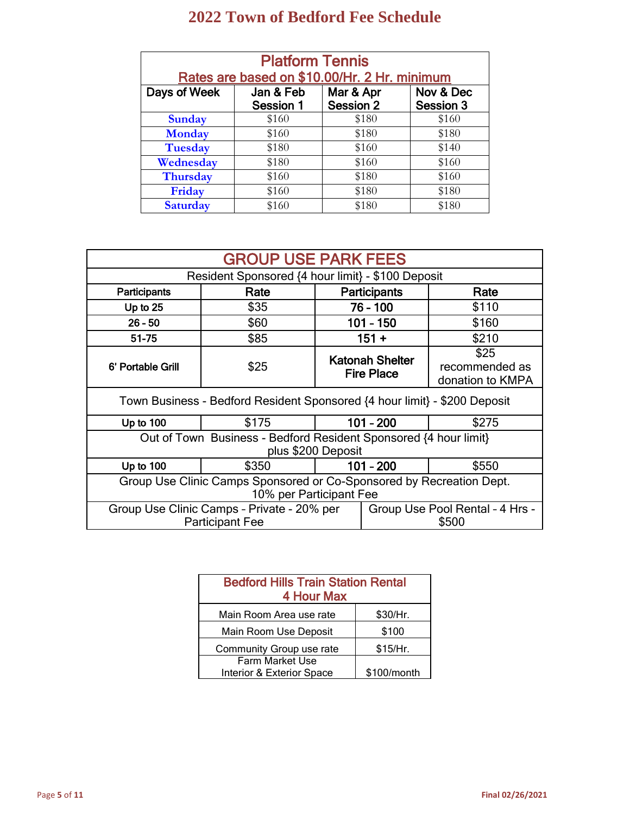| <b>Platform Tennis</b>                                                                                          |       |                                              |       |  |
|-----------------------------------------------------------------------------------------------------------------|-------|----------------------------------------------|-------|--|
|                                                                                                                 |       | Rates are based on \$10.00/Hr. 2 Hr. minimum |       |  |
| Mar & Apr<br>Nov & Dec<br>Days of Week<br>Jan & Feb<br><b>Session 2</b><br><b>Session 1</b><br><b>Session 3</b> |       |                                              |       |  |
| <b>Sunday</b>                                                                                                   | \$160 | \$180                                        | \$160 |  |
| <b>Monday</b>                                                                                                   | \$160 | \$180                                        | \$180 |  |
| <b>Tuesday</b>                                                                                                  | \$180 | \$160                                        | \$140 |  |
| Wednesday                                                                                                       | \$180 | \$160                                        | \$160 |  |
| <b>Thursday</b>                                                                                                 | \$160 | \$180                                        | \$160 |  |
| Friday                                                                                                          | \$160 | \$180                                        | \$180 |  |
| <b>Saturday</b>                                                                                                 | \$160 | \$180                                        | \$180 |  |

| <b>GROUP USE PARK FEES</b>                                                                                       |                                                   |  |                                             |                                            |
|------------------------------------------------------------------------------------------------------------------|---------------------------------------------------|--|---------------------------------------------|--------------------------------------------|
|                                                                                                                  | Resident Sponsored {4 hour limit} - \$100 Deposit |  |                                             |                                            |
| <b>Participants</b>                                                                                              | Rate                                              |  | Participants                                | Rate                                       |
| Up to $25$                                                                                                       | \$35                                              |  | 76 - 100                                    | \$110                                      |
| $26 - 50$                                                                                                        | \$60                                              |  | $101 - 150$                                 | \$160                                      |
| 51-75                                                                                                            | \$85                                              |  | $151 +$                                     | \$210                                      |
| 6' Portable Grill                                                                                                | \$25                                              |  | <b>Katonah Shelter</b><br><b>Fire Place</b> | \$25<br>recommended as<br>donation to KMPA |
| Town Business - Bedford Resident Sponsored {4 hour limit} - \$200 Deposit                                        |                                                   |  |                                             |                                            |
| Up to $100$                                                                                                      | \$175                                             |  | $101 - 200$                                 | \$275                                      |
| Out of Town Business - Bedford Resident Sponsored {4 hour limit}<br>plus \$200 Deposit                           |                                                   |  |                                             |                                            |
| Up to 100                                                                                                        | \$350                                             |  | $101 - 200$                                 | \$550                                      |
| Group Use Clinic Camps Sponsored or Co-Sponsored by Recreation Dept.<br>10% per Participant Fee                  |                                                   |  |                                             |                                            |
| Group Use Clinic Camps - Private - 20% per<br>Group Use Pool Rental - 4 Hrs -<br><b>Participant Fee</b><br>\$500 |                                                   |  |                                             |                                            |

| <b>Bedford Hills Train Station Rental</b><br>4 Hour Max |             |  |
|---------------------------------------------------------|-------------|--|
| Main Room Area use rate                                 | \$30/Hr.    |  |
| Main Room Use Deposit                                   | \$100       |  |
| Community Group use rate                                | \$15/Hr.    |  |
| <b>Farm Market Use</b>                                  |             |  |
| Interior & Exterior Space                               | \$100/month |  |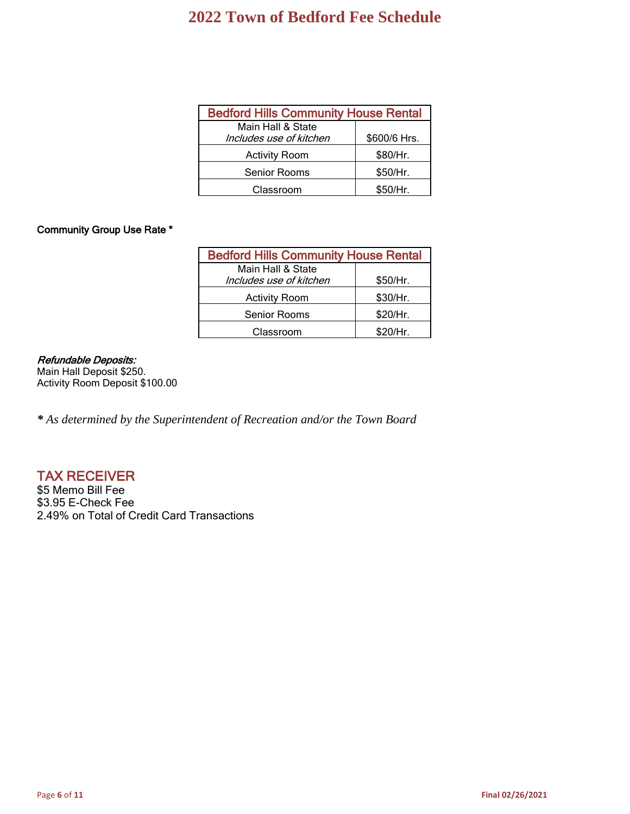| <b>Bedford Hills Community House Rental</b>  |              |  |
|----------------------------------------------|--------------|--|
| Main Hall & State<br>Includes use of kitchen | \$600/6 Hrs. |  |
| <b>Activity Room</b>                         | \$80/Hr.     |  |
| <b>Senior Rooms</b>                          | \$50/Hr.     |  |
| Classroom                                    | \$50/Hr.     |  |

#### Community Group Use Rate \*

| <b>Bedford Hills Community House Rental</b> |          |  |
|---------------------------------------------|----------|--|
| Main Hall & State                           |          |  |
| Includes use of kitchen                     | \$50/Hr. |  |
| <b>Activity Room</b>                        | \$30/Hr. |  |
| <b>Senior Rooms</b>                         | \$20/Hr. |  |
| Classroom                                   | \$20/Hr. |  |

#### Refundable Deposits:

Main Hall Deposit \$250. Activity Room Deposit \$100.00

*\* As determined by the Superintendent of Recreation and/or the Town Board*

TAX RECEIVER

\$5 Memo Bill Fee \$3.95 E-Check Fee 2.49% on Total of Credit Card Transactions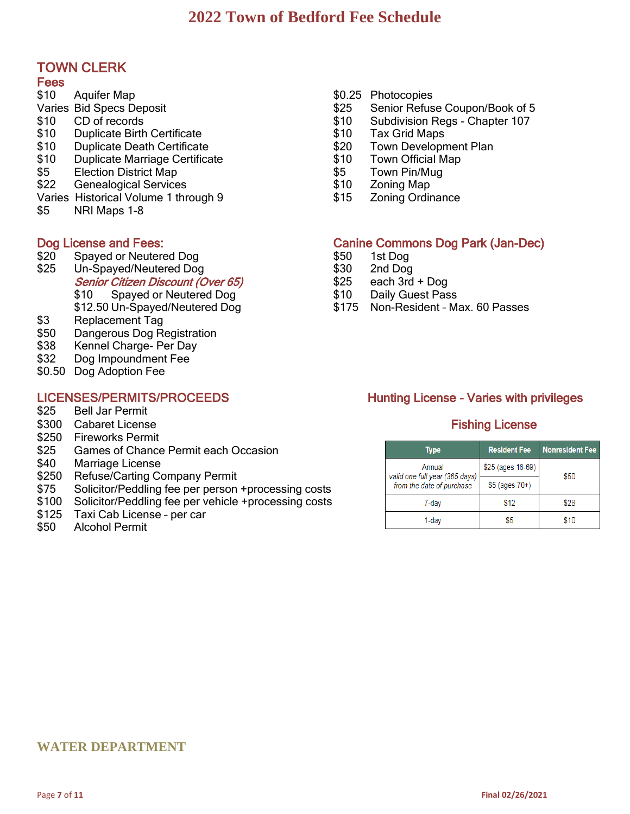### TOWN CLERK

#### Fees

- \$10 Aquifer Map
- Varies Bid Specs Deposit
- \$10 CD of records
- \$10 Duplicate Birth Certificate
- \$10 Duplicate Death Certificate
- \$10 Duplicate Marriage Certificate
- \$5 Election District Map
- \$22 Genealogical Services
- Varies Historical Volume 1 through 9
- \$5 NRI Maps 1-8

- 
- \$20 Spayed or Neutered Dog  $$50$  1st Dog \$50 1st Dog \$25 Un-Spayed/Neutered Dog \$50 \$30 2nd Dog Un-Spayed/Neutered Dog \$30 \$30 2nd Dog Senior Citizen Discount (Over 65)<br>
\$10 Spayed or Neutered Dog \$10 Daily Guest Pass Spayed or Neutered Dog  $$10$
- \$3 Replacement Tag
- \$50 Dangerous Dog Registration
- \$38 Kennel Charge- Per Day
- \$32 Dog Impoundment Fee
- \$0.50 Dog Adoption Fee

- \$25 Bell Jar Permit
- \$300 Cabaret License Fishing License Fishing License
- \$250 Fireworks Permit
- \$25 Games of Chance Permit each Occasion
- \$40 Marriage License
- \$250 Refuse/Carting Company Permit
- \$75 Solicitor/Peddling fee per person +processing costs
- \$100 Solicitor/Peddling fee per vehicle +processing costs
- \$125 Taxi Cab License per car
- \$50 Alcohol Permit Ĭ
- \$0.25 Photocopies
- \$25 Senior Refuse Coupon/Book of 5
- \$10 Subdivision Regs Chapter 107
- \$10 Tax Grid Maps
- \$20 Town Development Plan
- \$10 Town Official Map
- \$5 Town Pin/Mug
- \$10 Zoning Map
- \$15 Zoning Ordinance

#### Dog License and Fees: Canine Commons Dog Park (Jan-Dec)

- 
- 
- 
- 
- \$12.50 Un-Spayed/Neutered Dog \$175 Non-Resident Max. 60 Passes

### LICENSES/PERMITS/PROCEEDS Hunting License - Varies with privileges

| <b>Type</b>                                                 | <b>Resident Fee</b> | <b>Nonresident Fee</b> |
|-------------------------------------------------------------|---------------------|------------------------|
| Annual                                                      | \$25 (ages 16-69)   | \$50                   |
| valid one full year (365 days)<br>from the date of purchase | $$5$ (ages $70+$ )  |                        |
| 7-day                                                       | \$12                | \$28                   |
| 1-day                                                       | \$5                 | \$10                   |

#### **WATER DEPARTMENT**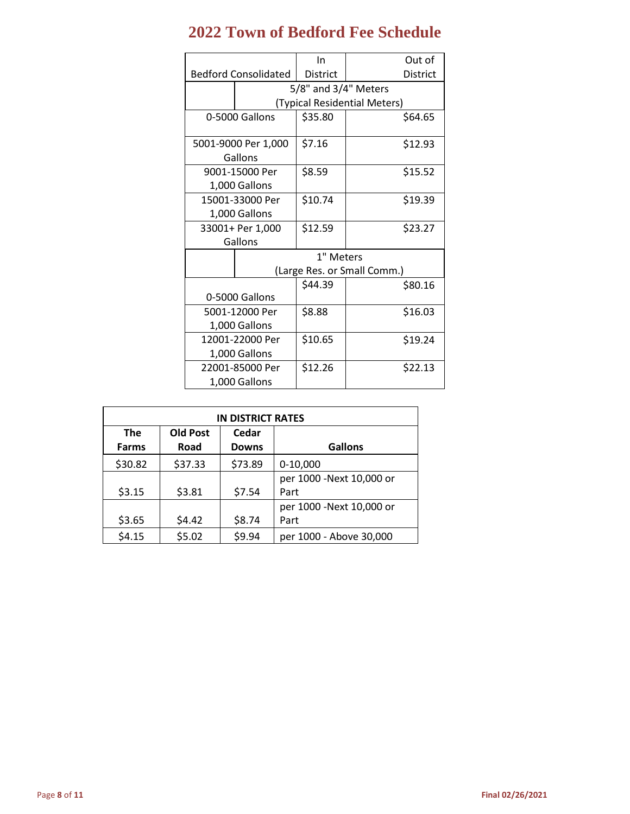|                                  |                                | In                          | Out of                       |  |
|----------------------------------|--------------------------------|-----------------------------|------------------------------|--|
| <b>Bedford Consolidated</b>      |                                | <b>District</b>             | District                     |  |
|                                  |                                | 5/8" and 3/4" Meters        |                              |  |
|                                  |                                |                             | (Typical Residential Meters) |  |
|                                  | 0-5000 Gallons                 |                             | \$64.65                      |  |
|                                  | 5001-9000 Per 1,000<br>Gallons | \$7.16                      | \$12.93                      |  |
| 9001-15000 Per<br>1,000 Gallons  |                                | \$8.59                      | \$15.52                      |  |
| 15001-33000 Per<br>1,000 Gallons |                                | \$10.74                     | \$19.39                      |  |
| 33001+ Per 1,000<br>Gallons      |                                | \$12.59                     | \$23.27                      |  |
|                                  |                                | 1" Meters                   |                              |  |
|                                  |                                | (Large Res. or Small Comm.) |                              |  |
| 0-5000 Gallons                   |                                | \$44.39                     | \$80.16                      |  |
| 5001-12000 Per                   |                                | \$8.88                      | \$16.03                      |  |
| 1,000 Gallons                    |                                |                             |                              |  |
| 12001-22000 Per                  |                                | \$10.65                     | \$19.24                      |  |
| 1,000 Gallons                    |                                |                             |                              |  |
| 22001-85000 Per                  |                                | \$12.26                     | \$22.13                      |  |
|                                  | 1,000 Gallons                  |                             |                              |  |

| <b>IN DISTRICT RATES</b>               |         |              |                           |  |  |  |
|----------------------------------------|---------|--------------|---------------------------|--|--|--|
| <b>The</b><br><b>Old Post</b><br>Cedar |         |              |                           |  |  |  |
| <b>Farms</b>                           | Road    | <b>Downs</b> | <b>Gallons</b>            |  |  |  |
| \$30.82                                | \$37.33 | \$73.89      | $0-10,000$                |  |  |  |
|                                        |         |              | per 1000 - Next 10,000 or |  |  |  |
| \$3.15                                 | \$3.81  | \$7.54       | Part                      |  |  |  |
|                                        |         |              | per 1000 - Next 10,000 or |  |  |  |
| \$3.65                                 | \$4.42  | \$8.74       | Part                      |  |  |  |
| \$4.15                                 | \$5.02  | \$9.94       | per 1000 - Above 30,000   |  |  |  |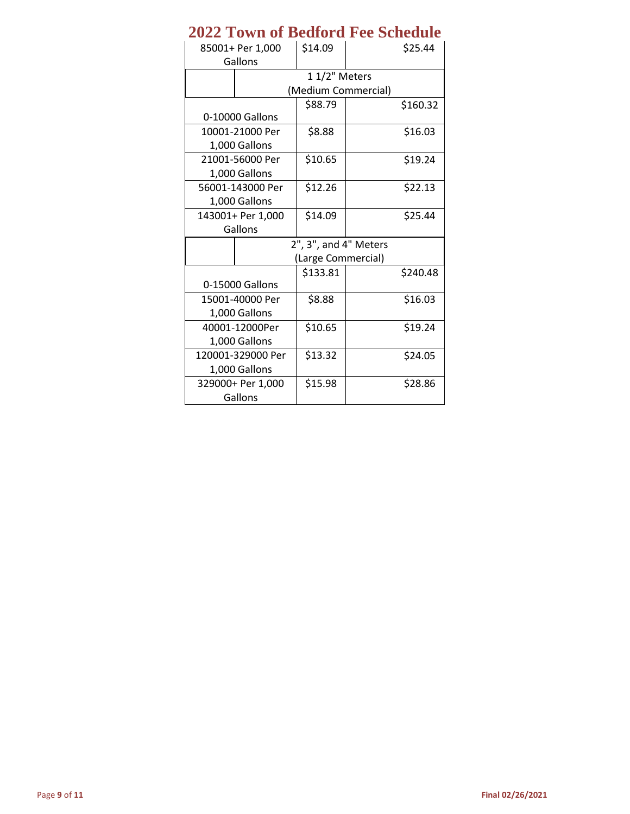| 85001+ Per 1,000  |                 | \$14.09               | \$25.44  |
|-------------------|-----------------|-----------------------|----------|
| Gallons           |                 |                       |          |
|                   |                 | 1 1/2" Meters         |          |
|                   |                 | (Medium Commercial)   |          |
|                   |                 | \$88.79               | \$160.32 |
| 0-10000 Gallons   |                 |                       |          |
| 10001-21000 Per   |                 | \$8.88                | \$16.03  |
| 1,000 Gallons     |                 |                       |          |
| 21001-56000 Per   |                 | \$10.65               | \$19.24  |
| 1,000 Gallons     |                 |                       |          |
| 56001-143000 Per  |                 | \$12.26               | \$22.13  |
| 1,000 Gallons     |                 |                       |          |
| 143001+ Per 1,000 |                 | \$14.09               | \$25.44  |
| Gallons           |                 |                       |          |
|                   |                 | 2", 3", and 4" Meters |          |
|                   |                 | (Large Commercial)    |          |
|                   |                 | \$133.81              | \$240.48 |
| 0-15000 Gallons   |                 |                       |          |
|                   | 15001-40000 Per |                       | \$16.03  |
| 1,000 Gallons     |                 |                       |          |
| 40001-12000Per    |                 | \$10.65               | \$19.24  |
| 1,000 Gallons     |                 |                       |          |
| 120001-329000 Per |                 | \$13.32               | \$24.05  |
| 1,000 Gallons     |                 |                       |          |
| 329000+ Per 1,000 |                 | \$15.98               | \$28.86  |
| Gallons           |                 |                       |          |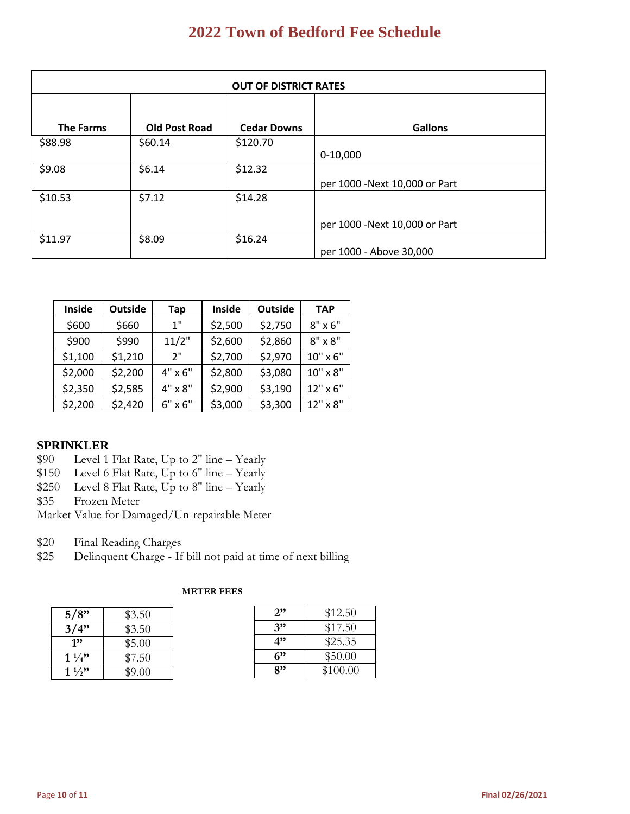| <b>OUT OF DISTRICT RATES</b> |                      |                    |                                |  |  |
|------------------------------|----------------------|--------------------|--------------------------------|--|--|
|                              |                      |                    |                                |  |  |
| <b>The Farms</b>             | <b>Old Post Road</b> | <b>Cedar Downs</b> | <b>Gallons</b>                 |  |  |
| \$88.98                      | \$60.14              | \$120.70           |                                |  |  |
|                              |                      |                    | $0-10,000$                     |  |  |
| \$9.08                       | \$6.14               | \$12.32            |                                |  |  |
|                              |                      |                    | per 1000 - Next 10,000 or Part |  |  |
| \$10.53                      | \$7.12               | \$14.28            |                                |  |  |
|                              |                      |                    |                                |  |  |
|                              |                      |                    | per 1000 - Next 10,000 or Part |  |  |
| \$11.97                      | \$8.09               | \$16.24            |                                |  |  |
|                              |                      |                    | per 1000 - Above 30,000        |  |  |

| <b>Inside</b> | <b>Outside</b> | Tap            | Inside  | <b>Outside</b> | <b>TAP</b>      |
|---------------|----------------|----------------|---------|----------------|-----------------|
| \$600         | \$660          | 1"             | \$2,500 | \$2,750        | $8" \times 6"$  |
| \$900         | \$990          | 11/2"          | \$2,600 | \$2,860        | $8" \times 8"$  |
| \$1,100       | \$1,210        | 2"             | \$2,700 | \$2,970        | $10" \times 6"$ |
| \$2,000       | \$2,200        | 4" x 6"        | \$2,800 | \$3,080        | $10" \times 8"$ |
| \$2,350       | \$2,585        | 4" x 8"        | \$2,900 | \$3,190        | 12" x 6"        |
| \$2,200       | \$2,420        | $6" \times 6"$ | \$3,000 | \$3,300        | 12" x 8"        |

#### **SPRINKLER**

- \$90 Level 1 Flat Rate, Up to 2" line Yearly
- \$150 Level 6 Flat Rate, Up to 6" line Yearly
- \$250 Level 8 Flat Rate,  $Up$  to 8" line Yearly
- \$35 Frozen Meter
- Market Value for Damaged/Un-repairable Meter
- \$20 Final Reading Charges
- \$25 Delinquent Charge If bill not paid at time of next billing

#### **METER FEES**

| 5/8"             | \$3.50 |
|------------------|--------|
| 3/4"             | \$3.50 |
| 1"               | \$5.00 |
| $1\frac{1}{4}$ " | \$7.50 |
| $1\frac{1}{2}$   | \$9.00 |

| 2" | \$12.50  |
|----|----------|
| 3" | \$17.50  |
| 4" | \$25.35  |
| ና" | \$50.00  |
| 8" | \$100.00 |